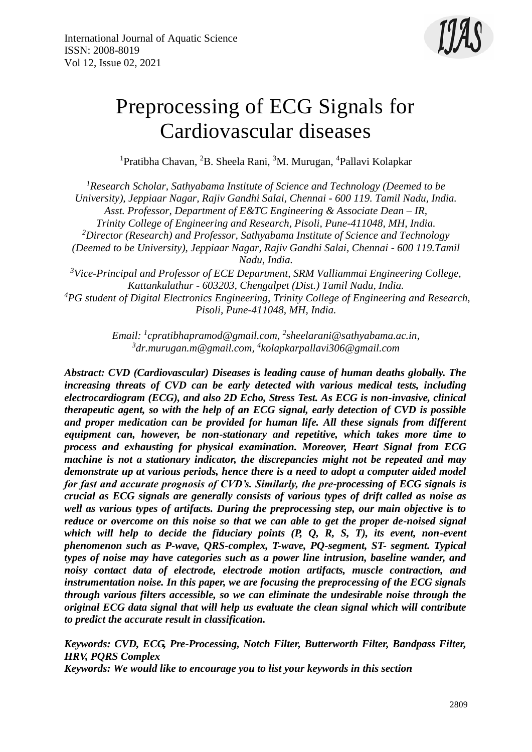

# Preprocessing of ECG Signals for Cardiovascular diseases

<sup>1</sup>Pratibha Chavan, <sup>2</sup>B. Sheela Rani, <sup>3</sup>M. Murugan, <sup>4</sup>Pallavi Kolapkar

*<sup>1</sup>Research Scholar, Sathyabama Institute of Science and Technology (Deemed to be University), Jeppiaar Nagar, Rajiv Gandhi Salai, Chennai - 600 119. Tamil Nadu, India. Asst. Professor, Department of E&TC Engineering & Associate Dean – IR, Trinity College of Engineering and Research, Pisoli, Pune-411048, MH, India. <sup>2</sup>Director (Research) and Professor, Sathyabama Institute of Science and Technology (Deemed to be University), Jeppiaar Nagar, Rajiv Gandhi Salai, Chennai - 600 119.Tamil Nadu, India. <sup>3</sup>Vice-Principal and Professor of ECE Department, SRM Valliammai Engineering College, Kattankulathur - 603203, Chengalpet (Dist.) Tamil Nadu, India.*

*<sup>4</sup>PG student of Digital Electronics Engineering, Trinity College of Engineering and Research, Pisoli, Pune-411048, MH, India.*

> *Email: <sup>1</sup> [cpratibhapramod@gmail.com,](mailto:cpratibhapramod@gmail.com) 2 [sheelarani@sathyabama.ac.in,](mailto:sheelarani@sathyabama.ac.in) 3 [dr.murugan.m@gmail.com,](mailto:dr.murugan.m@gmail.com) 4 kolapkarpallavi306@gmail.com*

*Abstract: CVD (Cardiovascular) Diseases is leading cause of human deaths globally. The increasing threats of CVD can be early detected with various medical tests, including electrocardiogram (ECG), and also 2D Echo, Stress Test. As ECG is non-invasive, clinical therapeutic agent, so with the help of an ECG signal, early detection of CVD is possible and proper medication can be provided for human life. All these signals from different equipment can, however, be non-stationary and repetitive, which takes more time to process and exhausting for physical examination. Moreover, Heart Signal from ECG machine is not a stationary indicator, the discrepancies might not be repeated and may demonstrate up at various periods, hence there is a need to adopt a computer aided model for fast and accurate prognosis of CVD's. Similarly, the pre-processing of ECG signals is crucial as ECG signals are generally consists of various types of drift called as noise as well as various types of artifacts. During the preprocessing step, our main objective is to reduce or overcome on this noise so that we can able to get the proper de-noised signal which will help to decide the fiduciary points (P, Q, R, S, T), its event, non-event phenomenon such as P-wave, QRS-complex, T-wave, PQ-segment, ST- segment. Typical types of noise may have categories such as a power line intrusion, baseline wander, and noisy contact data of electrode, electrode motion artifacts, muscle contraction, and instrumentation noise. In this paper, we are focusing the preprocessing of the ECG signals through various filters accessible, so we can eliminate the undesirable noise through the original ECG data signal that will help us evaluate the clean signal which will contribute to predict the accurate result in classification.*

*Keywords: CVD, ECG, Pre-Processing, Notch Filter, Butterworth Filter, Bandpass Filter, HRV, PQRS Complex Keywords: We would like to encourage you to list your keywords in this section*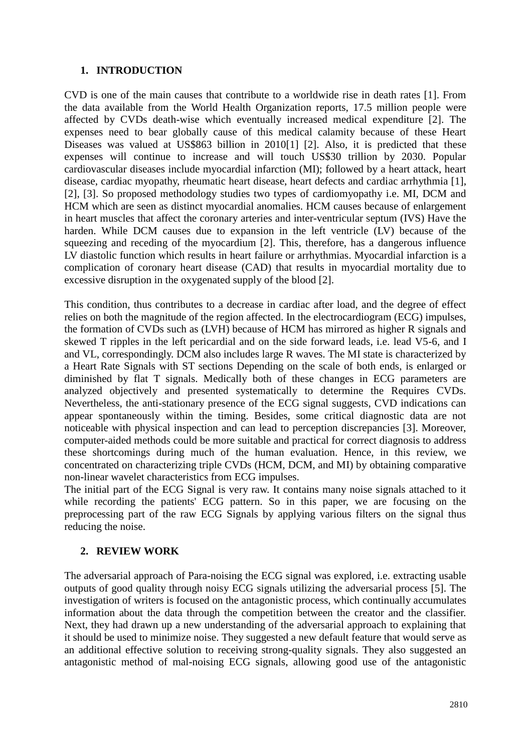# **1. INTRODUCTION**

CVD is one of the main causes that contribute to a worldwide rise in death rates [1]. From the data available from the World Health Organization reports, 17.5 million people were affected by CVDs death-wise which eventually increased medical expenditure [2]. The expenses need to bear globally cause of this medical calamity because of these Heart Diseases was valued at US\$863 billion in 2010[1] [2]. Also, it is predicted that these expenses will continue to increase and will touch US\$30 trillion by 2030. Popular cardiovascular diseases include myocardial infarction (MI); followed by a heart attack, heart disease, cardiac myopathy, rheumatic heart disease, heart defects and cardiac arrhythmia [1], [2], [3]. So proposed methodology studies two types of cardiomyopathy i.e. MI, DCM and HCM which are seen as distinct myocardial anomalies. HCM causes because of enlargement in heart muscles that affect the coronary arteries and inter-ventricular septum (IVS) Have the harden. While DCM causes due to expansion in the left ventricle (LV) because of the squeezing and receding of the myocardium [2]. This, therefore, has a dangerous influence LV diastolic function which results in heart failure or arrhythmias. Myocardial infarction is a complication of coronary heart disease (CAD) that results in myocardial mortality due to excessive disruption in the oxygenated supply of the blood [2].

This condition, thus contributes to a decrease in cardiac after load, and the degree of effect relies on both the magnitude of the region affected. In the electrocardiogram (ECG) impulses, the formation of CVDs such as (LVH) because of HCM has mirrored as higher R signals and skewed T ripples in the left pericardial and on the side forward leads, i.e. lead V5-6, and I and VL, correspondingly. DCM also includes large R waves. The MI state is characterized by a Heart Rate Signals with ST sections Depending on the scale of both ends, is enlarged or diminished by flat T signals. Medically both of these changes in ECG parameters are analyzed objectively and presented systematically to determine the Requires CVDs. Nevertheless, the anti-stationary presence of the ECG signal suggests, CVD indications can appear spontaneously within the timing. Besides, some critical diagnostic data are not noticeable with physical inspection and can lead to perception discrepancies [3]. Moreover, computer-aided methods could be more suitable and practical for correct diagnosis to address these shortcomings during much of the human evaluation. Hence, in this review, we concentrated on characterizing triple CVDs (HCM, DCM, and MI) by obtaining comparative non-linear wavelet characteristics from ECG impulses.

The initial part of the ECG Signal is very raw. It contains many noise signals attached to it while recording the patients' ECG pattern. So in this paper, we are focusing on the preprocessing part of the raw ECG Signals by applying various filters on the signal thus reducing the noise.

# **2. REVIEW WORK**

The adversarial approach of Para-noising the ECG signal was explored, i.e. extracting usable outputs of good quality through noisy ECG signals utilizing the adversarial process [5]. The investigation of writers is focused on the antagonistic process, which continually accumulates information about the data through the competition between the creator and the classifier. Next, they had drawn up a new understanding of the adversarial approach to explaining that it should be used to minimize noise. They suggested a new default feature that would serve as an additional effective solution to receiving strong-quality signals. They also suggested an antagonistic method of mal-noising ECG signals, allowing good use of the antagonistic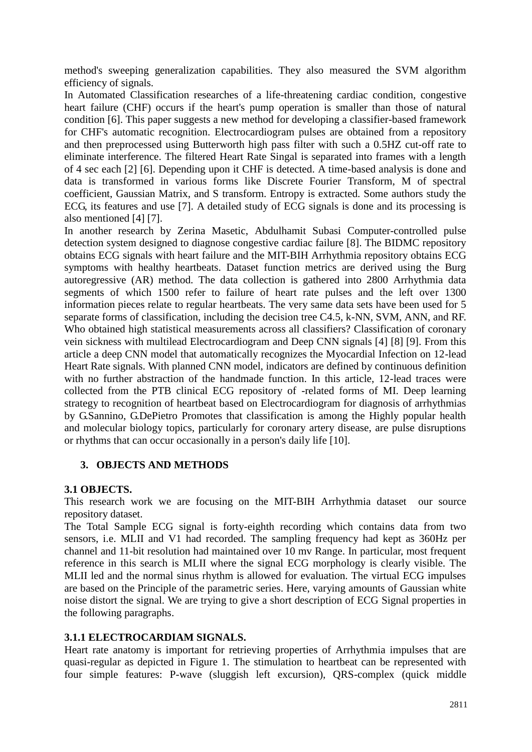method's sweeping generalization capabilities. They also measured the SVM algorithm efficiency of signals.

In Automated Classification researches of a life-threatening cardiac condition, congestive heart failure (CHF) occurs if the heart's pump operation is smaller than those of natural condition [6]. This paper suggests a new method for developing a classifier-based framework for CHF's automatic recognition. Electrocardiogram pulses are obtained from a repository and then preprocessed using Butterworth high pass filter with such a 0.5HZ cut-off rate to eliminate interference. The filtered Heart Rate Singal is separated into frames with a length of 4 sec each [2] [6]. Depending upon it CHF is detected. A time-based analysis is done and data is transformed in various forms like Discrete Fourier Transform, M of spectral coefficient, Gaussian Matrix, and S transform. Entropy is extracted. Some authors study the ECG, its features and use [7]. A detailed study of ECG signals is done and its processing is also mentioned [4] [7].

In another research by Zerina Masetic, Abdulhamit Subasi Computer-controlled pulse detection system designed to diagnose congestive cardiac failure [8]. The BIDMC repository obtains ECG signals with heart failure and the MIT-BIH Arrhythmia repository obtains ECG symptoms with healthy heartbeats. Dataset function metrics are derived using the Burg autoregressive (AR) method. The data collection is gathered into 2800 Arrhythmia data segments of which 1500 refer to failure of heart rate pulses and the left over 1300 information pieces relate to regular heartbeats. The very same data sets have been used for 5 separate forms of classification, including the decision tree C4.5, k-NN, SVM, ANN, and RF. Who obtained high statistical measurements across all classifiers? Classification of coronary vein sickness with multilead Electrocardiogram and Deep CNN signals [4] [8] [9]. From this article a deep CNN model that automatically recognizes the Myocardial Infection on 12-lead Heart Rate signals. With planned CNN model, indicators are defined by continuous definition with no further abstraction of the handmade function. In this article, 12-lead traces were collected from the PTB clinical ECG repository of -related forms of MI. Deep learning strategy to recognition of heartbeat based on Electrocardiogram for diagnosis of arrhythmias by G.Sannino, G.DePietro Promotes that classification is among the Highly popular health and molecular biology topics, particularly for coronary artery disease, are pulse disruptions or rhythms that can occur occasionally in a person's daily life [10].

# **3. OBJECTS AND METHODS**

## **3.1 OBJECTS.**

This research work we are focusing on the MIT-BIH Arrhythmia dataset our source repository dataset.

The Total Sample ECG signal is forty-eighth recording which contains data from two sensors, i.e. MLII and V1 had recorded. The sampling frequency had kept as 360Hz per channel and 11-bit resolution had maintained over 10 mv Range. In particular, most frequent reference in this search is MLII where the signal ECG morphology is clearly visible. The MLII led and the normal sinus rhythm is allowed for evaluation. The virtual ECG impulses are based on the Principle of the parametric series. Here, varying amounts of Gaussian white noise distort the signal. We are trying to give a short description of ECG Signal properties in the following paragraphs.

# **3.1.1 ELECTROCARDIAM SIGNALS.**

Heart rate anatomy is important for retrieving properties of Arrhythmia impulses that are quasi-regular as depicted in Figure 1. The stimulation to heartbeat can be represented with four simple features: P-wave (sluggish left excursion), QRS-complex (quick middle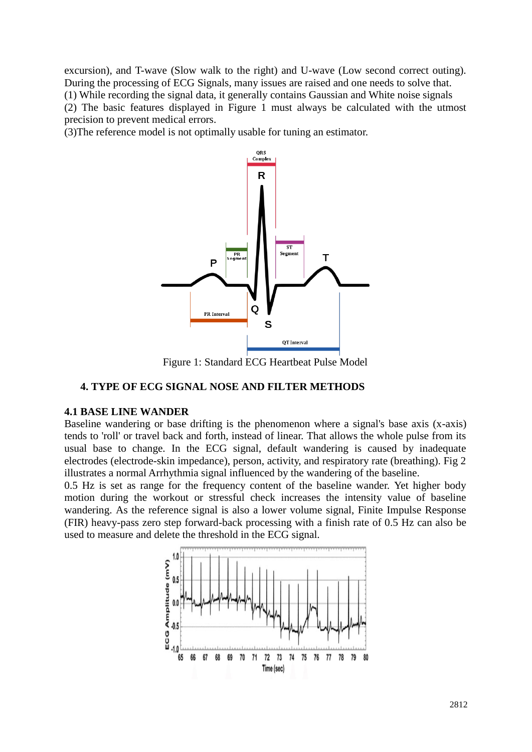excursion), and T-wave (Slow walk to the right) and U-wave (Low second correct outing). During the processing of ECG Signals, many issues are raised and one needs to solve that. (1) While recording the signal data, it generally contains Gaussian and White noise signals (2) The basic features displayed in Figure 1 must always be calculated with the utmost precision to prevent medical errors.

(3)The reference model is not optimally usable for tuning an estimator.



Figure 1: Standard ECG Heartbeat Pulse Model

# **4. TYPE OF ECG SIGNAL NOSE AND FILTER METHODS**

### **4.1 BASE LINE WANDER**

Baseline wandering or base drifting is the phenomenon where a signal's base axis (x-axis) tends to 'roll' or travel back and forth, instead of linear. That allows the whole pulse from its usual base to change. In the ECG signal, default wandering is caused by inadequate electrodes (electrode-skin impedance), person, activity, and respiratory rate (breathing). Fig 2 illustrates a normal Arrhythmia signal influenced by the wandering of the baseline.

0.5 Hz is set as range for the frequency content of the baseline wander. Yet higher body motion during the workout or stressful check increases the intensity value of baseline wandering. As the reference signal is also a lower volume signal, Finite Impulse Response (FIR) heavy-pass zero step forward-back processing with a finish rate of 0.5 Hz can also be used to measure and delete the threshold in the ECG signal.

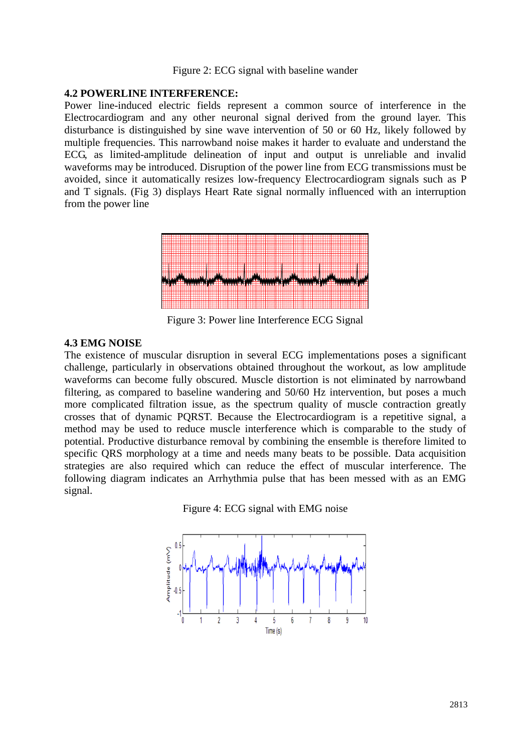#### Figure 2: ECG signal with baseline wander

## **4.2 POWERLINE INTERFERENCE:**

Power line-induced electric fields represent a common source of interference in the Electrocardiogram and any other neuronal signal derived from the ground layer. This disturbance is distinguished by sine wave intervention of 50 or 60 Hz, likely followed by multiple frequencies. This narrowband noise makes it harder to evaluate and understand the ECG, as limited-amplitude delineation of input and output is unreliable and invalid waveforms may be introduced. Disruption of the power line from ECG transmissions must be avoided, since it automatically resizes low-frequency Electrocardiogram signals such as P and T signals. (Fig 3) displays Heart Rate signal normally influenced with an interruption from the power line



Figure 3: Power line Interference ECG Signal

### **4.3 EMG NOISE**

The existence of muscular disruption in several ECG implementations poses a significant challenge, particularly in observations obtained throughout the workout, as low amplitude waveforms can become fully obscured. Muscle distortion is not eliminated by narrowband filtering, as compared to baseline wandering and 50/60 Hz intervention, but poses a much more complicated filtration issue, as the spectrum quality of muscle contraction greatly crosses that of dynamic PQRST. Because the Electrocardiogram is a repetitive signal, a method may be used to reduce muscle interference which is comparable to the study of potential. Productive disturbance removal by combining the ensemble is therefore limited to specific QRS morphology at a time and needs many beats to be possible. Data acquisition strategies are also required which can reduce the effect of muscular interference. The following diagram indicates an Arrhythmia pulse that has been messed with as an EMG signal.



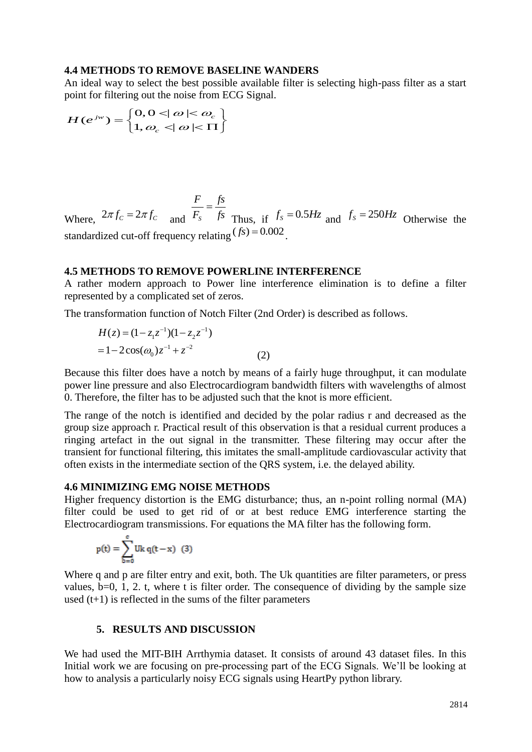#### **4.4 METHODS TO REMOVE BASELINE WANDERS**

An ideal way to select the best possible available filter is selecting high-pass filter as a start point for filtering out the noise from ECG Signal.<br>  $H(e^{jw}) = \int 0, 0 < |\omega| < \omega_c$ 

$$
H(e^{jw}) = \begin{cases} 0, 0 < \mid \omega \mid < \omega_c \\ 1, \omega_c < \mid \omega \mid < \Pi \end{cases}
$$

Where,  $2\pi f_c = 2\pi f_c$  and  $F_s$ *F fs*  $F_s$  *fs*  $=$ Thus, if  $f_s = 0.5 Hz$  and  $f_s = 250 Hz$  Otherwise the standardized cut-off frequency relating  $(fs) = 0.002$ .

## **4.5 METHODS TO REMOVE POWERLINE INTERFERENCE**

A rather modern approach to Power line interference elimination is to define a filter represented by a complicated set of zeros.

The transformation function of Notch Filter (2nd Order) is described as follows.

$$
H(z) = (1 - z1z-1)(1 - z2z-1)
$$
  
= 1 - 2 cos( $\omega_0$ )z<sup>-1</sup> + z<sup>-2</sup> (2)

Because this filter does have a notch by means of a fairly huge throughput, it can modulate power line pressure and also Electrocardiogram bandwidth filters with wavelengths of almost 0. Therefore, the filter has to be adjusted such that the knot is more efficient.

The range of the notch is identified and decided by the polar radius r and decreased as the group size approach r. Practical result of this observation is that a residual current produces a ringing artefact in the out signal in the transmitter. These filtering may occur after the transient for functional filtering, this imitates the small-amplitude cardiovascular activity that often exists in the intermediate section of the QRS system, i.e. the delayed ability.

## **4.6 MINIMIZING EMG NOISE METHODS**

Higher frequency distortion is the EMG disturbance; thus, an n-point rolling normal (MA) filter could be used to get rid of or at best reduce EMG interference starting the Electrocardiogram transmissions. For equations the MA filter has the following form.

$$
p(t) = \sum_{b=0}^{c} Uk q(t-x) \quad (3)
$$

Where q and p are filter entry and exit, both. The Uk quantities are filter parameters, or press values,  $b=0$ , 1, 2. t, where t is filter order. The consequence of dividing by the sample size used  $(t+1)$  is reflected in the sums of the filter parameters

#### **5. RESULTS AND DISCUSSION**

We had used the MIT-BIH Arrthymia dataset. It consists of around 43 dataset files. In this Initial work we are focusing on pre-processing part of the ECG Signals. We'll be looking at how to analysis a particularly noisy ECG signals using HeartPy python library.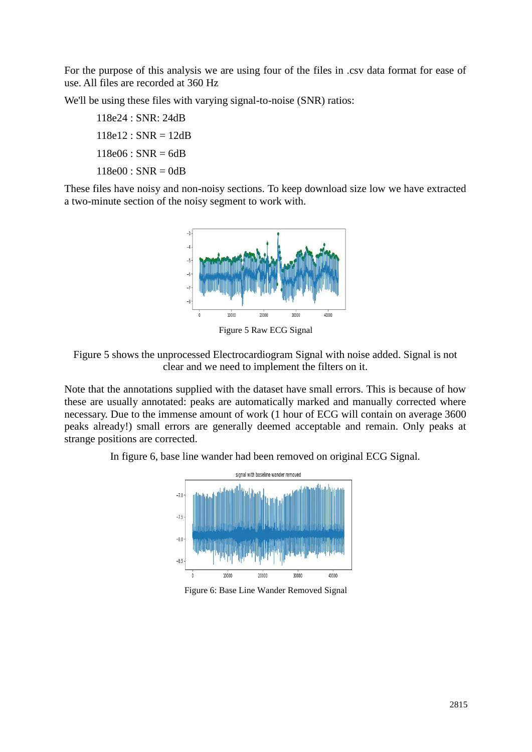For the purpose of this analysis we are using four of the files in .csv data format for ease of use. All files are recorded at 360 Hz

We'll be using these files with varying signal-to-noise (SNR) ratios:

118e24 : SNR: 24dB  $118e12$ : SNR = 12dB  $118e06$ : SNR = 6dB  $118e00 : SNR = 0dB$ 

These files have noisy and non-noisy sections. To keep download size low we have extracted a two-minute section of the noisy segment to work with.



Figure 5 Raw ECG Signal



Note that the annotations supplied with the dataset have small errors. This is because of how these are usually annotated: peaks are automatically marked and manually corrected where necessary. Due to the immense amount of work (1 hour of ECG will contain on average 3600 peaks already!) small errors are generally deemed acceptable and remain. Only peaks at strange positions are corrected.

In figure 6, base line wander had been removed on original ECG Signal.



Figure 6: Base Line Wander Removed Signal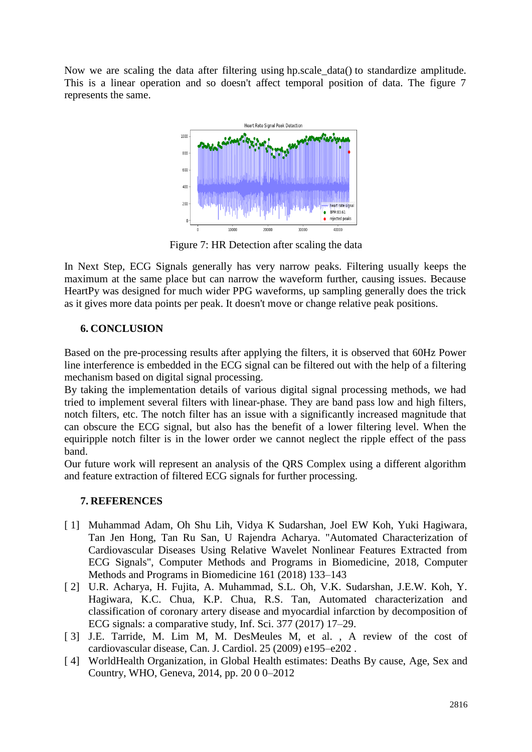Now we are scaling the data after filtering using hp.scale\_data() to standardize amplitude. This is a linear operation and so doesn't affect temporal position of data. The figure 7 represents the same.



Figure 7: HR Detection after scaling the data

In Next Step, ECG Signals generally has very narrow peaks. Filtering usually keeps the maximum at the same place but can narrow the waveform further, causing issues. Because HeartPy was designed for much wider PPG waveforms, up sampling generally does the trick as it gives more data points per peak. It doesn't move or change relative peak positions.

# **6. CONCLUSION**

Based on the pre-processing results after applying the filters, it is observed that 60Hz Power line interference is embedded in the ECG signal can be filtered out with the help of a filtering mechanism based on digital signal processing.

By taking the implementation details of various digital signal processing methods, we had tried to implement several filters with linear-phase. They are band pass low and high filters, notch filters, etc. The notch filter has an issue with a significantly increased magnitude that can obscure the ECG signal, but also has the benefit of a lower filtering level. When the equiripple notch filter is in the lower order we cannot neglect the ripple effect of the pass band.

Our future work will represent an analysis of the QRS Complex using a different algorithm and feature extraction of filtered ECG signals for further processing.

# **7. REFERENCES**

- [ 1] Muhammad Adam, Oh Shu Lih, Vidya K Sudarshan, Joel EW Koh, Yuki Hagiwara, Tan Jen Hong, Tan Ru San, U Rajendra Acharya. "Automated Characterization of Cardiovascular Diseases Using Relative Wavelet Nonlinear Features Extracted from ECG Signals", Computer Methods and Programs in Biomedicine, 2018, Computer Methods and Programs in Biomedicine 161 (2018) 133–143
- [ 2] U.R. Acharya, H. Fujita, A. Muhammad, S.L. Oh, V.K. Sudarshan, J.E.W. Koh, Y. Hagiwara, K.C. Chua, K.P. Chua, R.S. Tan, Automated characterization and classification of coronary artery disease and myocardial infarction by decomposition of ECG signals: a comparative study, Inf. Sci. 377 (2017) 17–29.
- [ 3] J.E. Tarride, M. Lim M, M. DesMeules M, et al. , A review of the cost of cardiovascular disease, Can. J. Cardiol. 25 (2009) e195–e202 .
- [ 4] WorldHealth Organization, in Global Health estimates: Deaths By cause, Age, Sex and Country, WHO, Geneva, 2014, pp. 20 0 0–2012